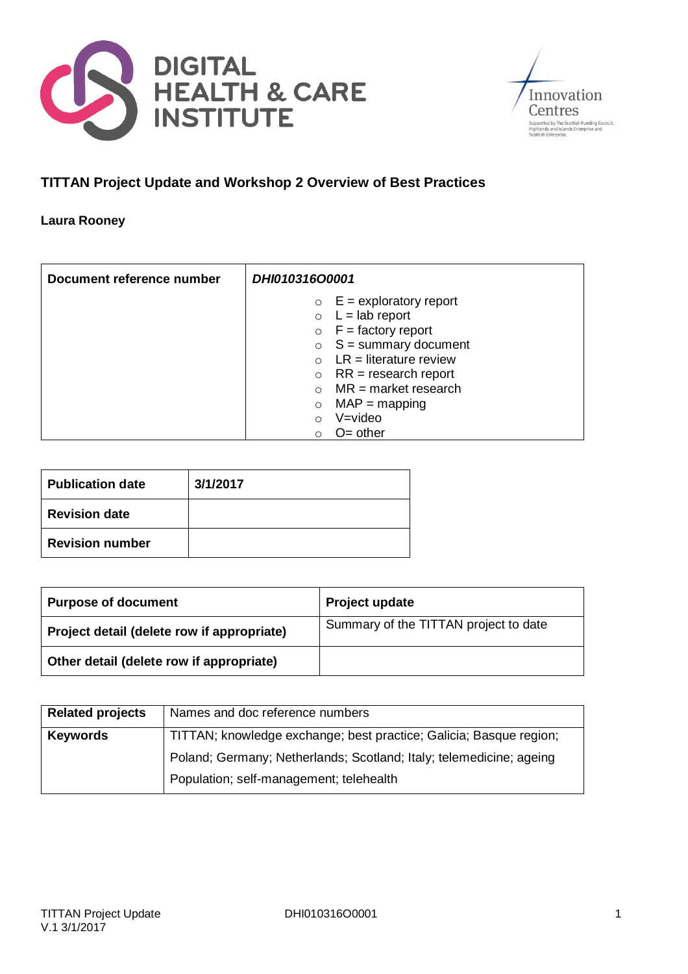



## **TITTAN Project Update and Workshop 2 Overview of Best Practices**

#### **Laura Rooney**

| Document reference number | DHI010316O0001                      |
|---------------------------|-------------------------------------|
|                           | $E =$ exploratory report<br>$\circ$ |
|                           | $L =$ lab report<br>$\circ$         |
|                           | $F =$ factory report<br>$\circ$     |
|                           | $S =$ summary document<br>$\circ$   |
|                           | $LR = literature$ review            |
|                           | $RR = research report$<br>$\circ$   |
|                           | $MR = market$ research              |
|                           | $MAP = mapping$<br>$\circ$          |
|                           | $V = video$                         |
|                           | $O =$ other                         |

| <b>Publication date</b> | 3/1/2017 |
|-------------------------|----------|
| <b>Revision date</b>    |          |
| <b>Revision number</b>  |          |

| <b>Purpose of document</b>                 | Project update                        |
|--------------------------------------------|---------------------------------------|
| Project detail (delete row if appropriate) | Summary of the TITTAN project to date |
| Other detail (delete row if appropriate)   |                                       |

| <b>Related projects</b> | Names and doc reference numbers                                     |
|-------------------------|---------------------------------------------------------------------|
| <b>Keywords</b>         | TITTAN; knowledge exchange; best practice; Galicia; Basque region;  |
|                         | Poland; Germany; Netherlands; Scotland; Italy; telemedicine; ageing |
|                         | Population; self-management; telehealth                             |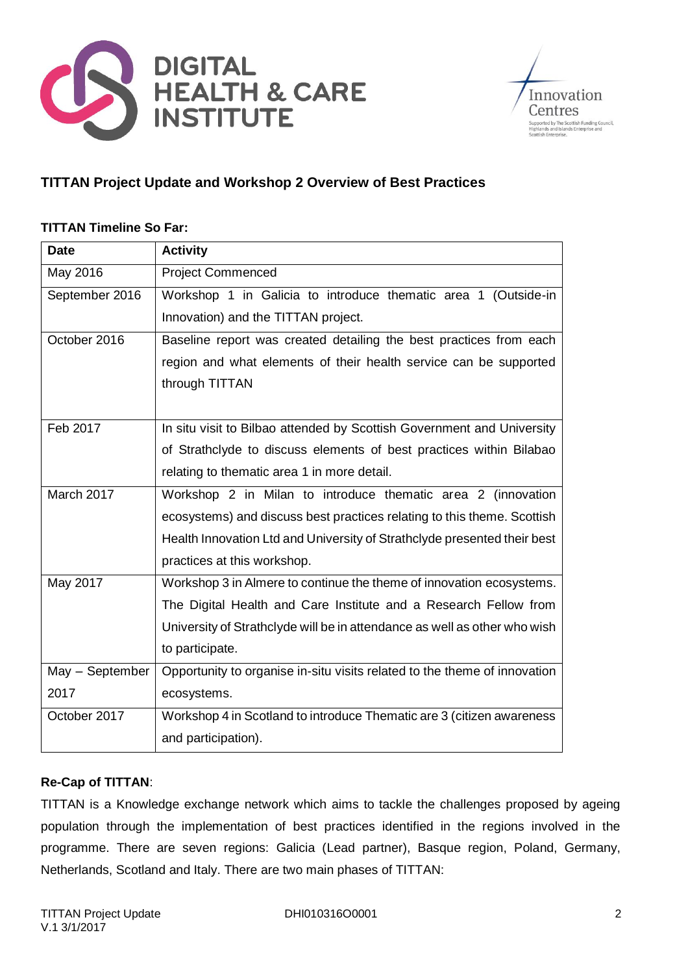



## **TITTAN Project Update and Workshop 2 Overview of Best Practices**

## **TITTAN Timeline So Far:**

| <b>Date</b>     | <b>Activity</b>                                                           |
|-----------------|---------------------------------------------------------------------------|
| May 2016        | <b>Project Commenced</b>                                                  |
| September 2016  | Workshop 1 in Galicia to introduce thematic area 1 (Outside-in            |
|                 | Innovation) and the TITTAN project.                                       |
| October 2016    | Baseline report was created detailing the best practices from each        |
|                 | region and what elements of their health service can be supported         |
|                 | through TITTAN                                                            |
|                 |                                                                           |
| Feb 2017        | In situ visit to Bilbao attended by Scottish Government and University    |
|                 | of Strathclyde to discuss elements of best practices within Bilabao       |
|                 | relating to thematic area 1 in more detail.                               |
| March 2017      | Workshop 2 in Milan to introduce thematic area 2 (innovation              |
|                 | ecosystems) and discuss best practices relating to this theme. Scottish   |
|                 | Health Innovation Ltd and University of Strathclyde presented their best  |
|                 | practices at this workshop.                                               |
| May 2017        | Workshop 3 in Almere to continue the theme of innovation ecosystems.      |
|                 | The Digital Health and Care Institute and a Research Fellow from          |
|                 | University of Strathclyde will be in attendance as well as other who wish |
|                 | to participate.                                                           |
| May - September | Opportunity to organise in-situ visits related to the theme of innovation |
| 2017            | ecosystems.                                                               |
| October 2017    | Workshop 4 in Scotland to introduce Thematic are 3 (citizen awareness     |
|                 | and participation).                                                       |

## **Re-Cap of TITTAN**:

TITTAN is a Knowledge exchange network which aims to tackle the challenges proposed by ageing population through the implementation of best practices identified in the regions involved in the programme. There are seven regions: Galicia (Lead partner), Basque region, Poland, Germany, Netherlands, Scotland and Italy. There are two main phases of TITTAN: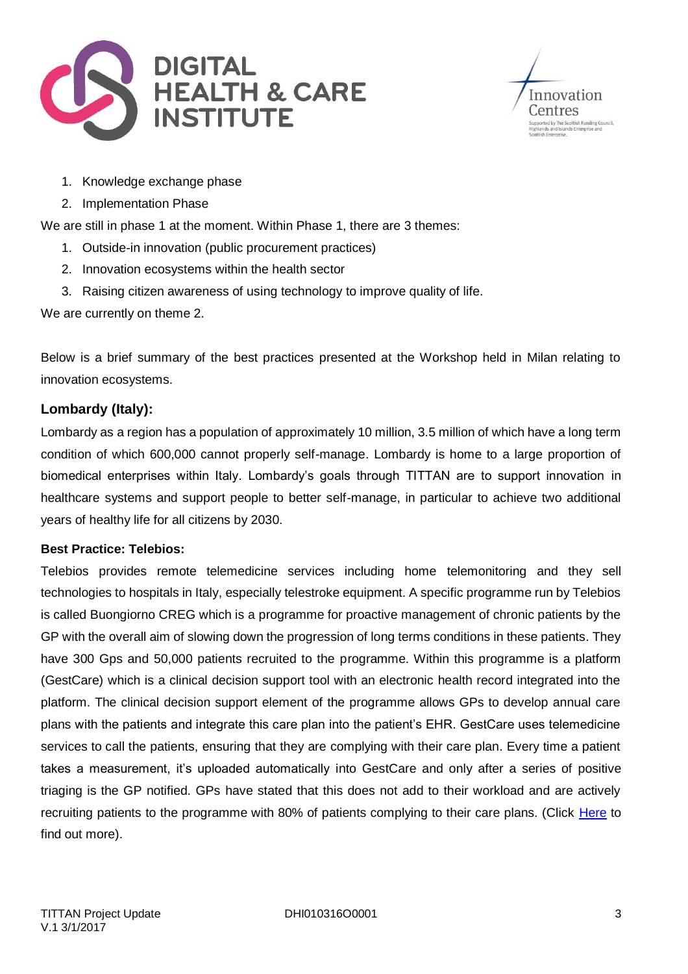



- 1. Knowledge exchange phase
- 2. Implementation Phase

We are still in phase 1 at the moment. Within Phase 1, there are 3 themes:

- 1. Outside-in innovation (public procurement practices)
- 2. Innovation ecosystems within the health sector
- 3. Raising citizen awareness of using technology to improve quality of life.

We are currently on theme 2.

Below is a brief summary of the best practices presented at the Workshop held in Milan relating to innovation ecosystems.

## **Lombardy (Italy):**

Lombardy as a region has a population of approximately 10 million, 3.5 million of which have a long term condition of which 600,000 cannot properly self-manage. Lombardy is home to a large proportion of biomedical enterprises within Italy. Lombardy's goals through TITTAN are to support innovation in healthcare systems and support people to better self-manage, in particular to achieve two additional years of healthy life for all citizens by 2030.

## **Best Practice: Telebios:**

Telebios provides remote telemedicine services including home telemonitoring and they sell technologies to hospitals in Italy, especially telestroke equipment. A specific programme run by Telebios is called Buongiorno CREG which is a programme for proactive management of chronic patients by the GP with the overall aim of slowing down the progression of long terms conditions in these patients. They have 300 Gps and 50,000 patients recruited to the programme. Within this programme is a platform (GestCare) which is a clinical decision support tool with an electronic health record integrated into the platform. The clinical decision support element of the programme allows GPs to develop annual care plans with the patients and integrate this care plan into the patient's EHR. GestCare uses telemedicine services to call the patients, ensuring that they are complying with their care plan. Every time a patient takes a measurement, it's uploaded automatically into GestCare and only after a series of positive triaging is the GP notified. GPs have stated that this does not add to their workload and are actively recruiting patients to the programme with 80% of patients complying to their care plans. (Click [Here](http://www.telbios.com/about-us/?lang=en) to find out more).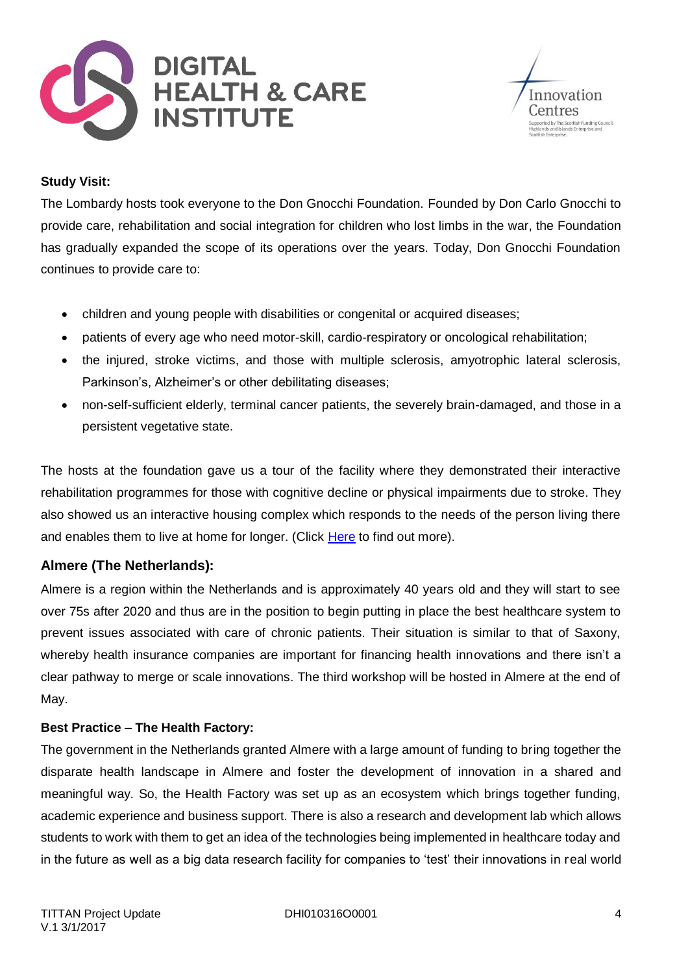



#### **Study Visit:**

The Lombardy hosts took everyone to the Don Gnocchi Foundation. Founded by Don Carlo Gnocchi to provide care, rehabilitation and social integration for children who lost limbs in the war, the Foundation has gradually expanded the scope of its operations over the years. Today, Don Gnocchi Foundation continues to provide care to:

- children and young people with disabilities or congenital or acquired diseases;
- patients of every age who need motor-skill, cardio-respiratory or oncological rehabilitation;
- the injured, stroke victims, and those with multiple sclerosis, amyotrophic lateral sclerosis, Parkinson's, Alzheimer's or other debilitating diseases;
- non-self-sufficient elderly, terminal cancer patients, the severely brain-damaged, and those in a persistent vegetative state.

The hosts at the foundation gave us a tour of the facility where they demonstrated their interactive rehabilitation programmes for those with cognitive decline or physical impairments due to stroke. They also showed us an interactive housing complex which responds to the needs of the person living there and enables them to live at home for longer. (Click [Here](http://www.dongnocchi.it/polopoly_fs/1.3443.1423647935!/menu/standard/file/Brochure%20in%20inglese_hi_res.pdf) to find out more).

## **Almere (The Netherlands):**

Almere is a region within the Netherlands and is approximately 40 years old and they will start to see over 75s after 2020 and thus are in the position to begin putting in place the best healthcare system to prevent issues associated with care of chronic patients. Their situation is similar to that of Saxony, whereby health insurance companies are important for financing health innovations and there isn't a clear pathway to merge or scale innovations. The third workshop will be hosted in Almere at the end of May.

## **Best Practice – The Health Factory:**

The government in the Netherlands granted Almere with a large amount of funding to bring together the disparate health landscape in Almere and foster the development of innovation in a shared and meaningful way. So, the Health Factory was set up as an ecosystem which brings together funding, academic experience and business support. There is also a research and development lab which allows students to work with them to get an idea of the technologies being implemented in healthcare today and in the future as well as a big data research facility for companies to 'test' their innovations in real world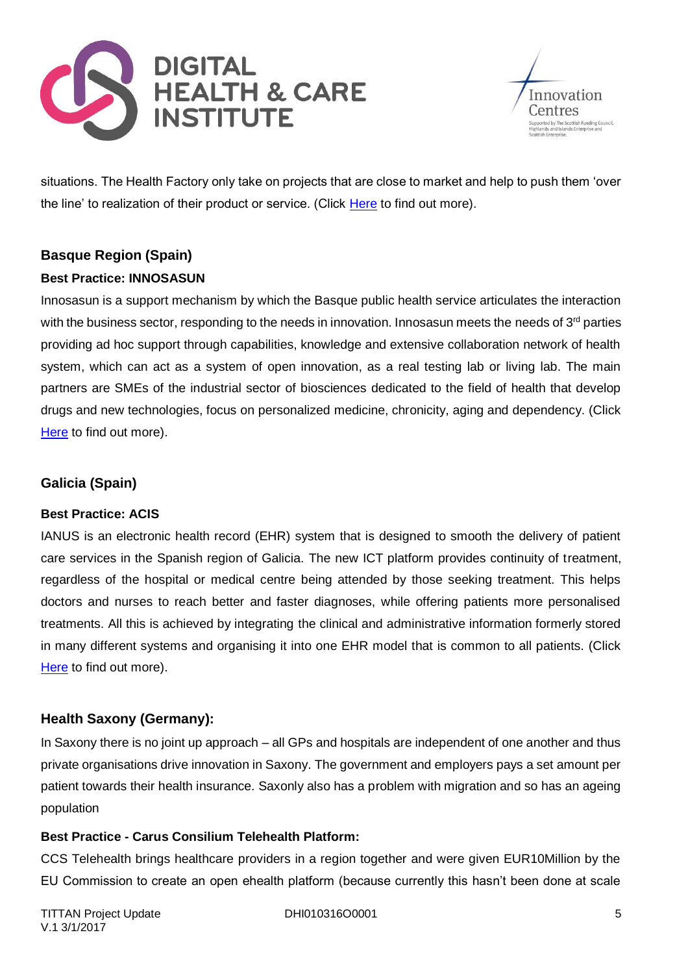



situations. The Health Factory only take on projects that are close to market and help to push them 'over the line' to realization of their product or service. (Click [Here](http://www.gezondheidfabriek.nl/) to find out more).

# **Basque Region (Spain)**

## **Best Practice: INNOSASUN**

Innosasun is a support mechanism by which the Basque public health service articulates the interaction with the business sector, responding to the needs in innovation. Innosasun meets the needs of 3<sup>rd</sup> parties providing ad hoc support through capabilities, knowledge and extensive collaboration network of health system, which can act as a system of open innovation, as a real testing lab or living lab. The main partners are SMEs of the industrial sector of biosciences dedicated to the field of health that develop drugs and new technologies, focus on personalized medicine, chronicity, aging and dependency. (Click [Here](https://ec.europa.eu/eip/ageing/commitments-tracker/c2/innosasun_en) to find out more).

## **Galicia (Spain)**

## **Best Practice: ACIS**

IANUS is an electronic health record (EHR) system that is designed to smooth the delivery of patient care services in the Spanish region of Galicia. The new ICT platform provides continuity of treatment, regardless of the hospital or medical centre being attended by those seeking treatment. This helps doctors and nurses to reach better and faster diagnoses, while offering patients more personalised treatments. All this is achieved by integrating the clinical and administrative information formerly stored in many different systems and organising it into one EHR model that is common to all patients. (Click [Here](http://ec.europa.eu/regional_policy/en/projects/spain/electronic-medical-record-system-ianus-improves-regional-health-care) to find out more).

## **Health Saxony (Germany):**

In Saxony there is no joint up approach – all GPs and hospitals are independent of one another and thus private organisations drive innovation in Saxony. The government and employers pays a set amount per patient towards their health insurance. Saxonly also has a problem with migration and so has an ageing population

## **Best Practice - Carus Consilium Telehealth Platform:**

CCS Telehealth brings healthcare providers in a region together and were given EUR10Million by the EU Commission to create an open ehealth platform (because currently this hasn't been done at scale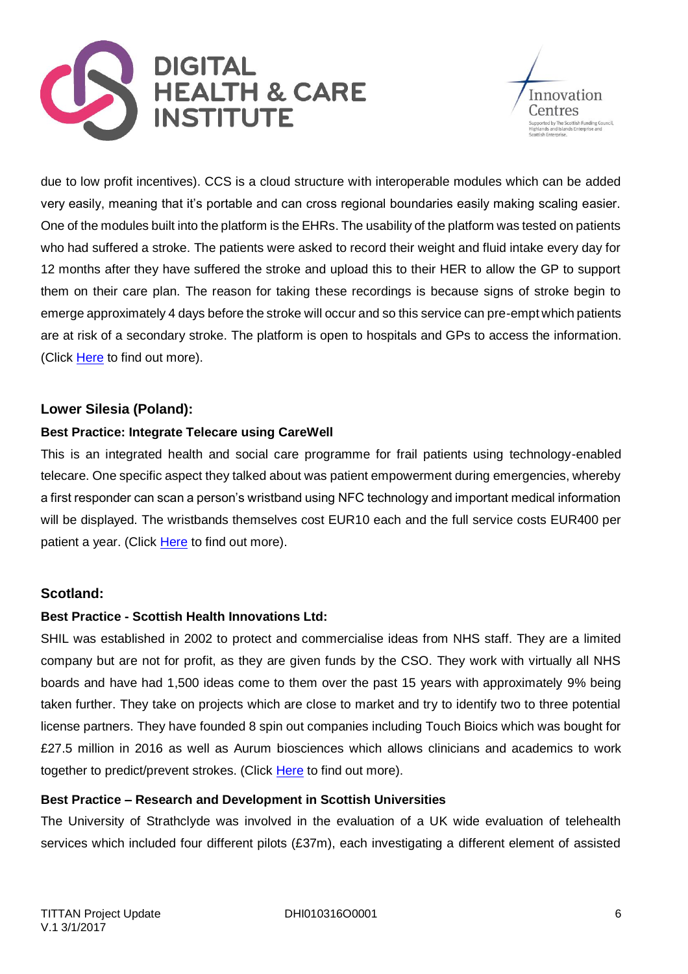



due to low profit incentives). CCS is a cloud structure with interoperable modules which can be added very easily, meaning that it's portable and can cross regional boundaries easily making scaling easier. One of the modules built into the platform is the EHRs. The usability of the platform was tested on patients who had suffered a stroke. The patients were asked to record their weight and fluid intake every day for 12 months after they have suffered the stroke and upload this to their HER to allow the GP to support them on their care plan. The reason for taking these recordings is because signs of stroke begin to emerge approximately 4 days before the stroke will occur and so this service can pre-empt which patients are at risk of a secondary stroke. The platform is open to hospitals and GPs to access the information. (Click [Here](http://www.carusconsilium.de/) to find out more).

## **Lower Silesia (Poland):**

## **Best Practice: Integrate Telecare using CareWell**

This is an integrated health and social care programme for frail patients using technology-enabled telecare. One specific aspect they talked about was patient empowerment during emergencies, whereby a first responder can scan a person's wristband using NFC technology and important medical information will be displayed. The wristbands themselves cost EUR10 each and the full service costs EUR400 per patient a year. (Click [Here](http://carewell-project.eu/regions/lower-silesia-poland/) to find out more).

## **Scotland:**

## **Best Practice - Scottish Health Innovations Ltd:**

SHIL was established in 2002 to protect and commercialise ideas from NHS staff. They are a limited company but are not for profit, as they are given funds by the CSO. They work with virtually all NHS boards and have had 1,500 ideas come to them over the past 15 years with approximately 9% being taken further. They take on projects which are close to market and try to identify two to three potential license partners. They have founded 8 spin out companies including Touch Bioics which was bought for £27.5 million in 2016 as well as Aurum biosciences which allows clinicians and academics to work together to predict/prevent strokes. (Click [Here](http://www.shil.co.uk/) to find out more).

## **Best Practice – Research and Development in Scottish Universities**

The University of Strathclyde was involved in the evaluation of a UK wide evaluation of telehealth services which included four different pilots (£37m), each investigating a different element of assisted